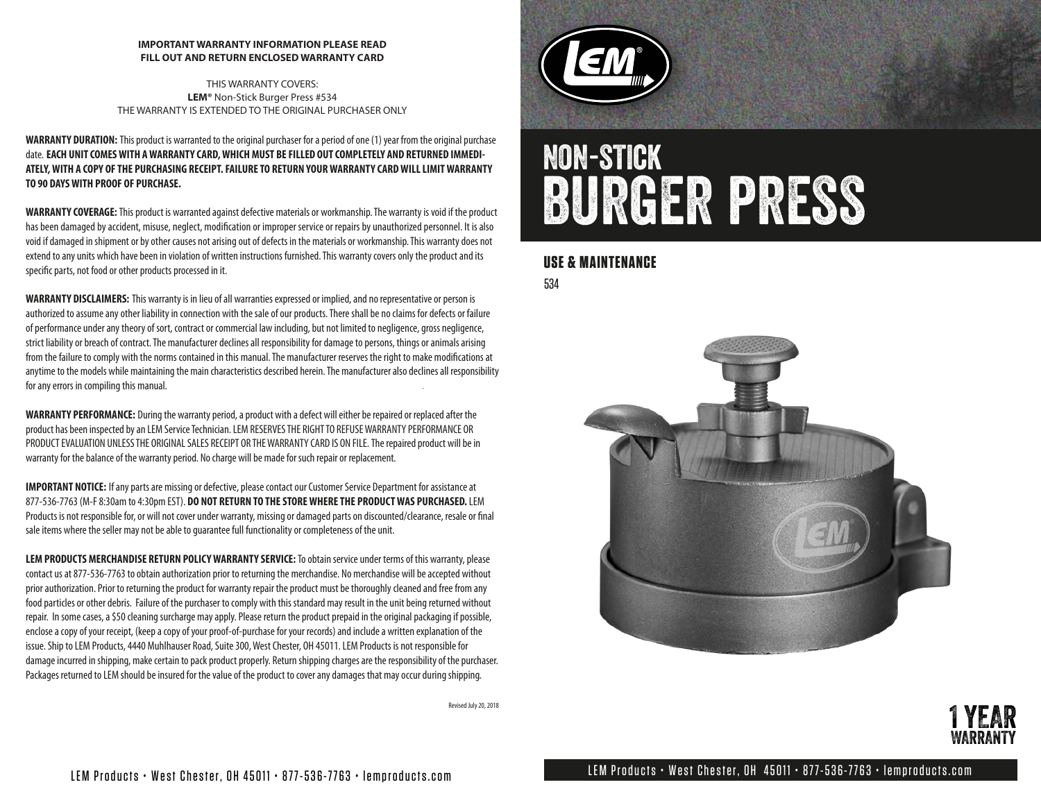#### **IMPORTANT WARRANTY INFORMATION PLEASE READ FILL OUT AND RETURN ENCLOSED WARRANTY CARD**

THIS WARRANTY COVERS: **LEM®** Non-Stick Burger Press #534 THE WARRANTY IS EXTENDED TO THE ORIGINAL PURCHASER ONLY

**WARRANTY DURATION:** This product is warranted to the original purchaser for a period of one (1) year from the original purchase date. **EACH UNIT COMES WITH A WARRANTY CARD, WHICH MUST BE FILLED OUT COMPLETELY AND RETURNED IMMEDI-ATELY, WITH A COPY OF THE PURCHASING RECEIPT. FAILURE TO RETURN YOUR WARRANTY CARD WILL LIMIT WARRANTY TO 90 DAYS WITH PROOF OF PURCHASE.**

**WARRANTY COVERAGE:**This product is warranted against defective materials or workmanship. The warranty is void if the product has been damaged by accident, misuse, neglect, modification or improper service or repairs by unauthorized personnel. It is also void if damaged in shipment or by other causes not arising out of defects in the materials or workmanship. This warranty does not extend to any units which have been in violation of written instructions furnished. This warranty covers only the product and its specific parts, not food or other products processed in it.

**WARRANTY DISCLAIMERS:** This warranty is in lieu of all warranties expressed or implied, and no representative or person is authorized to assume any other liability in connection with the sale of our products. There shall be no claims for defects or failure of performance under any theory of sort, contract or commercial law including, but not limited to negligence, gross negligence, strict liability or breach of contract. The manufacturer declines all responsibility for damage to persons, things or animals arising from the failure to comply with the norms contained in this manual. The manufacturer reserves the right to make modifications at anytime to the models while maintaining the main characteristics described herein. The manufacturer also declines all responsibility for any errors in compiling this manual.

**WARRANTY PERFORMANCE:** During the warranty period, a product with a defect will either be repaired or replaced after the product has been inspected by an LEM Service Technician. LEM RESERVES THE RIGHT TO REFUSE WARRANTY PERFORMANCE OR PRODUCT EVALUATION UNLESS THE ORIGINAL SALES RECEIPT OR THE WARRANTY CARD IS ON FILE.The repaired product will be in warranty for the balance of the warranty period. No charge will be made for such repair or replacement.

**IMPORTANT NOTICE:** If any parts are missing or defective, please contact our Customer Service Department for assistance at 877-536-7763 (M-F 8:30am to 4:30pm EST). **DO NOT RETURN TO THE STORE WHERE THE PRODUCT WAS PURCHASED.** LEM Products is not responsible for, or will not cover under warranty, missing or damaged parts on discounted/clearance, resale or final sale items where the seller may not be able to guarantee full functionality or completeness of the unit.

**LEM PRODUCTS MERCHANDISE RETURN POLICY WARRANTY SERVICE:** To obtain service under terms of this warranty, please contact us at 877-536-7763 to obtain authorization prior to returning the merchandise. No merchandise will be accepted without prior authorization. Prior to returning the product for warranty repair the product must be thoroughly cleaned and free from any food particles or other debris. Failure of the purchaser to comply with this standard may result in the unit being returned without repair. In some cases, a \$50 cleaning surcharge may apply. Please return the product prepaid in the original packaging if possible, enclose a copy of your receipt, (keep a copy of your proof-of-purchase for your records) and include a written explanation of the issue. Ship to LEM Products, 4440 Muhlhauser Road, Suite 300, West Chester, OH 45011. LEM Products is not responsible for damage incurred in shipping, make certain to pack product properly. Return shipping charges are the responsibility of the purchaser. Packages returned to LEM should be insured for the value of the product to cover any damages that may occur during shipping.

Revised July 20, 2018



# non-stick burger press

### **USE & MAINTENANCE**

534